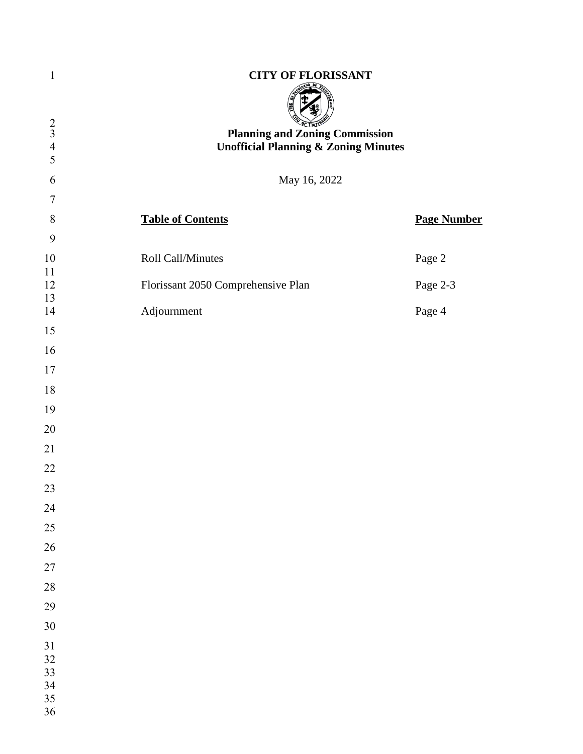| $\mathbf{1}$                  | <b>CITY OF FLORISSANT</b>                                                                |                    |
|-------------------------------|------------------------------------------------------------------------------------------|--------------------|
| $rac{2}{3}$<br>$\overline{4}$ | <b>Planning and Zoning Commission</b><br><b>Unofficial Planning &amp; Zoning Minutes</b> |                    |
| 5                             |                                                                                          |                    |
| 6<br>$\tau$                   | May 16, 2022                                                                             |                    |
| $\,8\,$                       | <b>Table of Contents</b>                                                                 | <b>Page Number</b> |
| 9                             |                                                                                          |                    |
| $10\,$<br>11                  | Roll Call/Minutes                                                                        | Page 2             |
| 12<br>13                      | Florissant 2050 Comprehensive Plan                                                       | Page 2-3           |
| 14                            | Adjournment                                                                              | Page 4             |
| 15                            |                                                                                          |                    |
| 16                            |                                                                                          |                    |
| 17                            |                                                                                          |                    |
| 18                            |                                                                                          |                    |
| 19                            |                                                                                          |                    |
| 20                            |                                                                                          |                    |
| 21                            |                                                                                          |                    |
| 22                            |                                                                                          |                    |
| 23                            |                                                                                          |                    |
| 24                            |                                                                                          |                    |
| 25                            |                                                                                          |                    |
| 26                            |                                                                                          |                    |
| 27                            |                                                                                          |                    |
| 28                            |                                                                                          |                    |
| 29                            |                                                                                          |                    |
| 30                            |                                                                                          |                    |
| 31<br>32<br>33<br>34<br>35    |                                                                                          |                    |
| 36                            |                                                                                          |                    |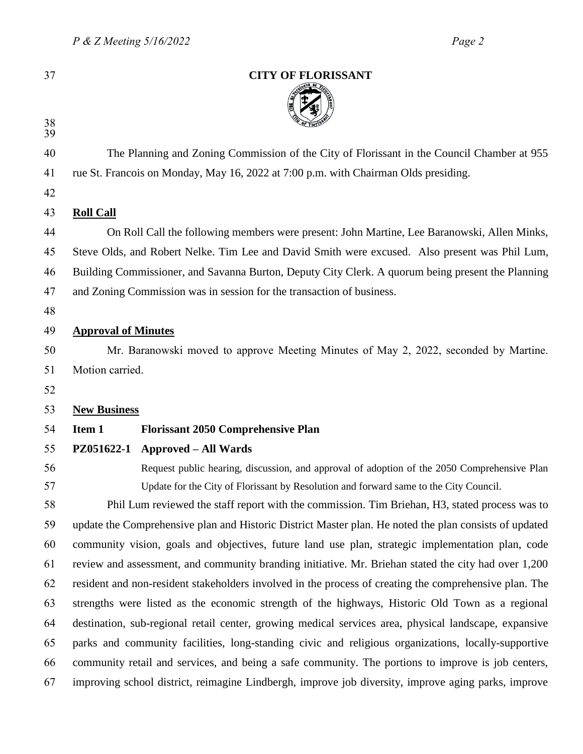| ٦<br>٠ |  |
|--------|--|
|        |  |
|        |  |
|        |  |
|        |  |

| 37 |                                                                                                       | <b>CITY OF FLORISSANT</b>                                                                              |  |  |  |
|----|-------------------------------------------------------------------------------------------------------|--------------------------------------------------------------------------------------------------------|--|--|--|
| 38 |                                                                                                       |                                                                                                        |  |  |  |
| 39 |                                                                                                       |                                                                                                        |  |  |  |
| 40 |                                                                                                       | The Planning and Zoning Commission of the City of Florissant in the Council Chamber at 955             |  |  |  |
| 41 |                                                                                                       | rue St. Francois on Monday, May 16, 2022 at 7:00 p.m. with Chairman Olds presiding.                    |  |  |  |
| 42 |                                                                                                       |                                                                                                        |  |  |  |
| 43 | <b>Roll Call</b>                                                                                      |                                                                                                        |  |  |  |
| 44 | On Roll Call the following members were present: John Martine, Lee Baranowski, Allen Minks,           |                                                                                                        |  |  |  |
| 45 | Steve Olds, and Robert Nelke. Tim Lee and David Smith were excused. Also present was Phil Lum,        |                                                                                                        |  |  |  |
| 46 | Building Commissioner, and Savanna Burton, Deputy City Clerk. A quorum being present the Planning     |                                                                                                        |  |  |  |
| 47 |                                                                                                       | and Zoning Commission was in session for the transaction of business.                                  |  |  |  |
| 48 |                                                                                                       |                                                                                                        |  |  |  |
| 49 | <b>Approval of Minutes</b>                                                                            |                                                                                                        |  |  |  |
| 50 |                                                                                                       | Mr. Baranowski moved to approve Meeting Minutes of May 2, 2022, seconded by Martine.                   |  |  |  |
| 51 | Motion carried.                                                                                       |                                                                                                        |  |  |  |
| 52 |                                                                                                       |                                                                                                        |  |  |  |
| 53 | <b>New Business</b>                                                                                   |                                                                                                        |  |  |  |
| 54 | Item 1                                                                                                | <b>Florissant 2050 Comprehensive Plan</b>                                                              |  |  |  |
| 55 | PZ051622-1                                                                                            | <b>Approved – All Wards</b>                                                                            |  |  |  |
| 56 |                                                                                                       | Request public hearing, discussion, and approval of adoption of the 2050 Comprehensive Plan            |  |  |  |
| 57 |                                                                                                       | Update for the City of Florissant by Resolution and forward same to the City Council.                  |  |  |  |
| 58 |                                                                                                       | Phil Lum reviewed the staff report with the commission. Tim Briehan, H3, stated process was to         |  |  |  |
| 59 |                                                                                                       | update the Comprehensive plan and Historic District Master plan. He noted the plan consists of updated |  |  |  |
| 60 | community vision, goals and objectives, future land use plan, strategic implementation plan, code     |                                                                                                        |  |  |  |
| 61 |                                                                                                       | review and assessment, and community branding initiative. Mr. Briehan stated the city had over 1,200   |  |  |  |
| 62 |                                                                                                       | resident and non-resident stakeholders involved in the process of creating the comprehensive plan. The |  |  |  |
| 63 | strengths were listed as the economic strength of the highways, Historic Old Town as a regional       |                                                                                                        |  |  |  |
| 64 | destination, sub-regional retail center, growing medical services area, physical landscape, expansive |                                                                                                        |  |  |  |
| 65 | parks and community facilities, long-standing civic and religious organizations, locally-supportive   |                                                                                                        |  |  |  |
| 66 | community retail and services, and being a safe community. The portions to improve is job centers,    |                                                                                                        |  |  |  |
| 67 |                                                                                                       | improving school district, reimagine Lindbergh, improve job diversity, improve aging parks, improve    |  |  |  |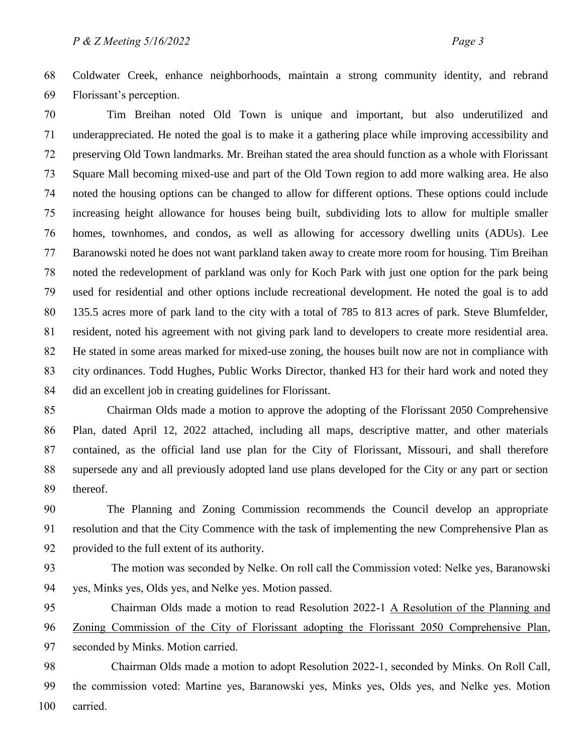Coldwater Creek, enhance neighborhoods, maintain a strong community identity, and rebrand Florissant's perception.

 Tim Breihan noted Old Town is unique and important, but also underutilized and underappreciated. He noted the goal is to make it a gathering place while improving accessibility and preserving Old Town landmarks. Mr. Breihan stated the area should function as a whole with Florissant Square Mall becoming mixed-use and part of the Old Town region to add more walking area. He also noted the housing options can be changed to allow for different options. These options could include increasing height allowance for houses being built, subdividing lots to allow for multiple smaller homes, townhomes, and condos, as well as allowing for accessory dwelling units (ADUs). Lee Baranowski noted he does not want parkland taken away to create more room for housing. Tim Breihan noted the redevelopment of parkland was only for Koch Park with just one option for the park being used for residential and other options include recreational development. He noted the goal is to add 135.5 acres more of park land to the city with a total of 785 to 813 acres of park. Steve Blumfelder, resident, noted his agreement with not giving park land to developers to create more residential area. He stated in some areas marked for mixed-use zoning, the houses built now are not in compliance with city ordinances. Todd Hughes, Public Works Director, thanked H3 for their hard work and noted they did an excellent job in creating guidelines for Florissant.

 Chairman Olds made a motion to approve the adopting of the Florissant 2050 Comprehensive Plan, dated April 12, 2022 attached, including all maps, descriptive matter, and other materials contained, as the official land use plan for the City of Florissant, Missouri, and shall therefore supersede any and all previously adopted land use plans developed for the City or any part or section thereof.

 The Planning and Zoning Commission recommends the Council develop an appropriate resolution and that the City Commence with the task of implementing the new Comprehensive Plan as provided to the full extent of its authority.

- The motion was seconded by Nelke. On roll call the Commission voted: Nelke yes, Baranowski yes, Minks yes, Olds yes, and Nelke yes. Motion passed.
- Chairman Olds made a motion to read Resolution 2022-1 A Resolution of the Planning and Zoning Commission of the City of Florissant adopting the Florissant 2050 Comprehensive Plan,

seconded by Minks. Motion carried.

 Chairman Olds made a motion to adopt Resolution 2022-1, seconded by Minks. On Roll Call, the commission voted: Martine yes, Baranowski yes, Minks yes, Olds yes, and Nelke yes. Motion carried.